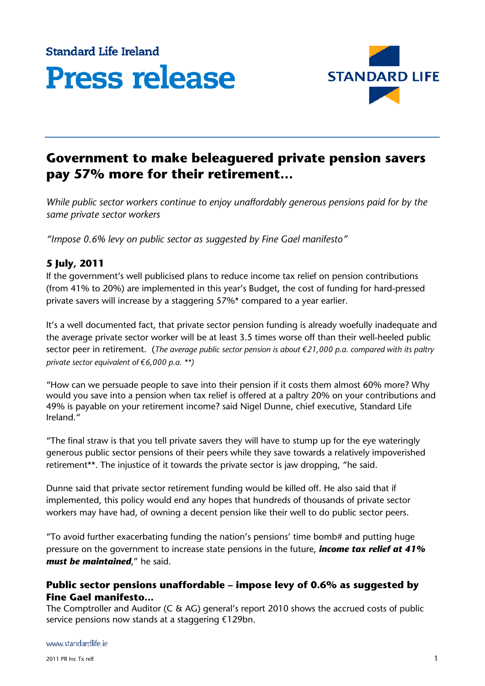### Standard Life Ireland

# **Press release**



## **Government to make beleaguered private pension savers pay 57% more for their retirement…**

*While public sector workers continue to enjoy unaffordably generous pensions paid for by the same private sector workers* 

*"Impose 0.6% levy on public sector as suggested by Fine Gael manifesto"* 

#### **5 July, 2011**

If the government's well publicised plans to reduce income tax relief on pension contributions (from 41% to 20%) are implemented in this year's Budget, the cost of funding for hard-pressed private savers will increase by a staggering 57%\* compared to a year earlier.

It's a well documented fact, that private sector pension funding is already woefully inadequate and the average private sector worker will be at least 3.5 times worse off than their well-heeled public sector peer in retirement. (*The average public sector pension is about €21,000 p.a. compared with its paltry private sector equivalent of €6,000 p.a. \*\*)* 

"How can we persuade people to save into their pension if it costs them almost 60% more? Why would you save into a pension when tax relief is offered at a paltry 20% on your contributions and 49% is payable on your retirement income? said Nigel Dunne, chief executive, Standard Life Ireland."

"The final straw is that you tell private savers they will have to stump up for the eye wateringly generous public sector pensions of their peers while they save towards a relatively impoverished retirement\*\*. The injustice of it towards the private sector is jaw dropping, "he said.

Dunne said that private sector retirement funding would be killed off. He also said that if implemented, this policy would end any hopes that hundreds of thousands of private sector workers may have had, of owning a decent pension like their well to do public sector peers.

"To avoid further exacerbating funding the nation's pensions' time bomb# and putting huge pressure on the government to increase state pensions in the future, *income tax relief at 41% must be maintained*," he said.

#### **Public sector pensions unaffordable – impose levy of 0.6% as suggested by Fine Gael manifesto...**

The Comptroller and Auditor (C & AG) general's report 2010 shows the accrued costs of public service pensions now stands at a staggering €129bn.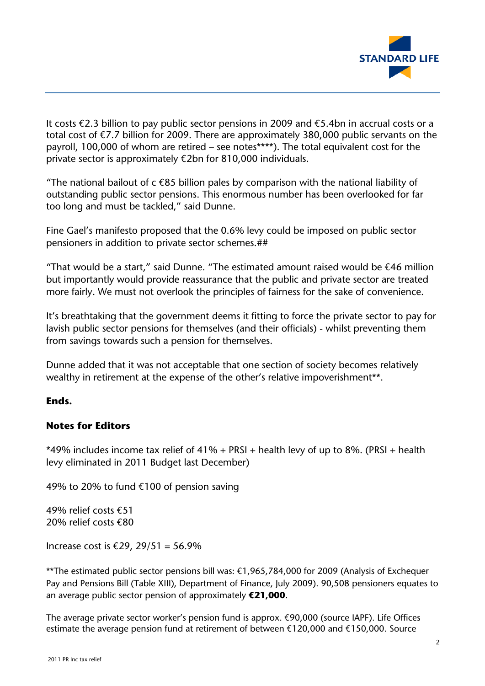

It costs €2.3 billion to pay public sector pensions in 2009 and €5.4bn in accrual costs or a total cost of €7.7 billion for 2009. There are approximately 380,000 public servants on the payroll, 100,000 of whom are retired – see notes\*\*\*\*). The total equivalent cost for the private sector is approximately €2bn for 810,000 individuals.

"The national bailout of  $c \in 85$  billion pales by comparison with the national liability of outstanding public sector pensions. This enormous number has been overlooked for far too long and must be tackled," said Dunne.

Fine Gael's manifesto proposed that the 0.6% levy could be imposed on public sector pensioners in addition to private sector schemes.##

"That would be a start," said Dunne. "The estimated amount raised would be  $\epsilon$ 46 million but importantly would provide reassurance that the public and private sector are treated more fairly. We must not overlook the principles of fairness for the sake of convenience.

It's breathtaking that the government deems it fitting to force the private sector to pay for lavish public sector pensions for themselves (and their officials) - whilst preventing them from savings towards such a pension for themselves.

Dunne added that it was not acceptable that one section of society becomes relatively wealthy in retirement at the expense of the other's relative impoverishment\*\*.

#### **Ends.**

#### **Notes for Editors**

\*49% includes income tax relief of 41% + PRSI + health levy of up to 8%. (PRSI + health levy eliminated in 2011 Budget last December)

49% to 20% to fund €100 of pension saving

49% relief costs €51 20% relief costs €80

Increase cost is €29, 29/51 = 56.9%

\*\*The estimated public sector pensions bill was: €1,965,784,000 for 2009 (Analysis of Exchequer Pay and Pensions Bill (Table XIII), Department of Finance, July 2009). 90,508 pensioners equates to an average public sector pension of approximately **€21,000**.

The average private sector worker's pension fund is approx.  $\epsilon$ 90,000 (source IAPF). Life Offices estimate the average pension fund at retirement of between €120,000 and €150,000. Source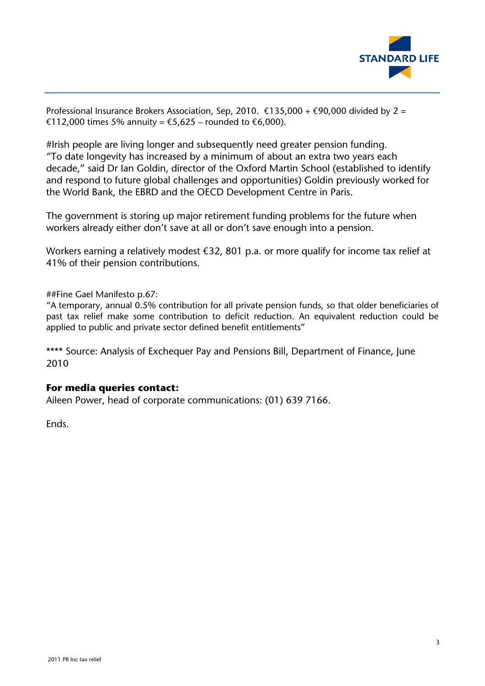

Professional Insurance Brokers Association, Sep, 2010.  $\epsilon$ 135,000 +  $\epsilon$ 90,000 divided by 2 = €112,000 times 5% annuity = €5,625 – rounded to €6,000).

#Irish people are living longer and subsequently need greater pension funding. "To date longevity has increased by a minimum of about an extra two years each decade," said Dr Ian Goldin, director of the Oxford Martin School (established to identify and respond to future global challenges and opportunities) Goldin previously worked for the World Bank, the EBRD and the OECD Development Centre in Paris.

The government is storing up major retirement funding problems for the future when workers already either don't save at all or don't save enough into a pension.

Workers earning a relatively modest €32, 801 p.a. or more qualify for income tax relief at 41% of their pension contributions.

##Fine Gael Manifesto p.67:

"A temporary, annual 0.5% contribution for all private pension funds, so that older beneficiaries of past tax relief make some contribution to deficit reduction. An equivalent reduction could be applied to public and private sector defined benefit entitlements"

\*\*\*\* Source: Analysis of Exchequer Pay and Pensions Bill, Department of Finance, June 2010

#### **For media queries contact:**

Aileen Power, head of corporate communications: (01) 639 7166.

Ends.